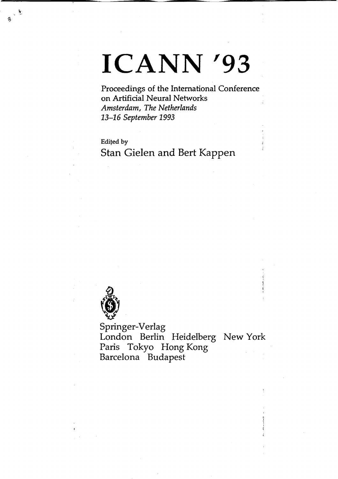# **ICANN '93**

Proceedings of the International Conference on Artificial Neural Networks *Amsterdam, The Netherlands 13-16 September 1993*

Edifed by Stan Gielen and Bert Kappen



 $\cdot$ .,

İ,

Springer-Verlag London Berlin Heidelberg New York Paris Tokyo Hong Kong Barcelona Budapest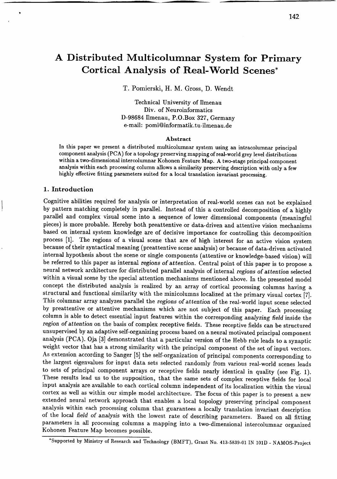# **A Distributed Multicolumnar System for Primary Cortical Analysis of Real- World** Scenes\*

T. Pomierski, H. M. Gross, D. Wendt

Technical University of llmenau Div. of Neuroinformatics D-98684 llmenau, P.O.Box 327, Germany e-mail: [pomi@informatik.tu-ilmenau.de](mailto:pomi@informatik.tu-ilmenau.de)

#### Abstract

In this paper we present a distributed multicolumnar system using an intracolumnar principal component analysis (PCA) for a topology preserving mapping of real-world grey level distributions within a two-dimensional intercolumnar Kohonen Feature Map. A two-stage principal component analysis within each processing column allows a similarity preserving description with only a few highly effective fitting parameters suited for a local translation invariant processing.

#### 1. Introduction

Cognitive abilities required for analysis or interpretation of real-world scenes can not be explained by pattern matching completely in parallel. Instead of this a controlled decomposition of a highly parallel and complex visual scene into a sequence of lower dimensional components (meaningful pieces) is more probable. Hereby both preattentive or data-driven and attentive vision mechanisms based on internal system knowledge are of decisive importance for controlling this decomposition process [1]. The regions of a visual scene that are of high interest for an active vision system because of their syntactical meaning (preattentive scene analysis) or because of data-driven activated internal hypothesis about the scene or single components (attentive or knowledge-based vision) will be referred to this paper as internal *regions* of *attention.* Central point of this paper is to propose a neural network architecture for distributed parallel analysis of internal *regions* of *attention* selected within a visual scene by the special attention mechanisms mentioned above. In the presented model concept the distributed analysis is realized by an array of cortical processing columns having a structural and functional similarity with the minicolumns localized at the primary visual cortex [7]. This columnar array analyzes parallel the *regions* of *attention* of the real-world input scene selected by preattentive or attentive mechanisms which are not subject of this paper. Each processing column is able to detect essential input features within the corresponding *analyzing field* inside the *region* of *attention* on the basis of complex receptive fields. These receptive fields can be structured unsupervised by an adaptive self-organizing process based on a neural motivated principal component analysis (PCA). Oja [3] demonstrated that a particular version of the Hebb rule leads to a synaptic weight vector that has a strong similarity with the principal component of the set of input vectors. As extension according to Sanger [5] the self-organization of principal components corresponding to the largest eigenvalues for input data sets selected randomly from various real-world scenes leads to sets of principal component arrays or receptive fields nearly identical in quality (see Fig. 1). These results lead us to the supposition, that the same sets of complex receptive fields for local input analysis are available to each cortical column independent of its localization within the visual cortex as weil as within our simple model architecture. The focus of this paper is to present a new extended neural network approach that enables a local topology preserving principal component analysis within each processing column that guarantees a locally translation invariant description of the local *field* of *analysis* with the lowest rate of describing parameters. Based on all fitting parameters in all processing columns a mapping into a two-dimensional intercolumnar organized Kohonen Feature Map becomes possible .

<sup>•</sup>Supported by Ministry of Research and Technology (BMFT), Grant No. 413-5839-01 IN 101D - NAMOS-Project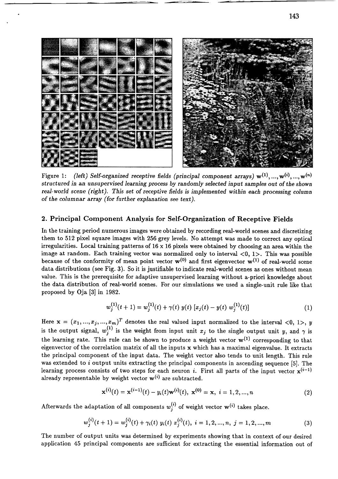

Figure 1: *(left)* Self-organized receptive fields *(principal component arrays)*  $w^{(1)}, ..., w^{(i)}, ..., w^{(n)}$ structured *in* an *unsupervised learning process by randomly selected input sampies out* of *the shown real-world scene* (*right*). This set of *receptive fields* is *implemented* within each processing column of *the columnar* array *(for further explanation* see *text).*

#### 2. Principal Component Analysis for Self-Organization of Receptive Fields

In the training period numerous images were obtained by recording real-world scenes and discretizing them to 512 pixel square images with 256 grey levels. No attempt was made to correct any optical irregularities. Local training patterns of  $16 \times 16$  pixels were obtained by choosing an area within the image at random. Each training vector was normalized only to interval  $<0$ , 1>. This was possible because of the conformity of mean point vector  $\mathbf{w}^{(0)}$  and first eigenvector  $\mathbf{w}^{(1)}$  of real-world scene data distributions (see Fig. 3). So it is justifiable to indicate real-world scenes as ones without mean value. This is the prerequisite for adaptive unsupervised learning without a-priori knowledge about the data distribution of real-world scenes. For our simulations we used a single-unit rule like that proposed by Oja [3] in 1982.

$$
w_j^{(1)}(t+1) = w_j^{(1)}(t) + \gamma(t) y(t) [x_j(t) - y(t) w_j^{(1)}(t)] \qquad (1)
$$

Here  $\mathbf{x} = (x_1, ..., x_j, ..., x_m)^T$  denotes the real valued input normalized to the interval <0, 1>, *y* is the output signal,  $w_j^{(1)}$  is the weight from input unit  $x_j$  to the single output unit *y*, and  $\gamma$  is the learning rate. This rule can be shown to produce a weight vector  $w^{(1)}$  corresponding to that eigenvector of the correlation matrix of all the inputs x which has a maximal eigenvalue. It extracts the principal component of the input data. The weight vector also tends to unit length. This rule was extended to  $i$  output units extracting the principal components in ascending sequence [5]. The learning process consists of two steps for each neuron *i*. First all parts of the input vector  $x^{(i-1)}$ already representable by weight vector  $w^{(i)}$  are subtracted.

$$
\mathbf{x}^{(i)}(t) = \mathbf{x}^{(i-1)}(t) - y_i(t)\mathbf{w}^{(i)}(t), \ \mathbf{x}^{(0)} = \mathbf{x}, \ i = 1, 2, ..., n
$$
 (2)

Afterwards the adaptation of all components  $w_j^{(i)}$  of weight vector  $w^{(i)}$  takes place.

$$
w_j^{(i)}(t+1) = w_j^{(i)}(t) + \gamma_i(t) \ y_i(t) \ x_j^{(i)}(t), \ i = 1, 2, ..., n, \ j = 1, 2, ..., m
$$
 (3)

The number of output units was determined by experiments showing that in context of our desired application 45 principal components are sufficient for extracting the essential information out of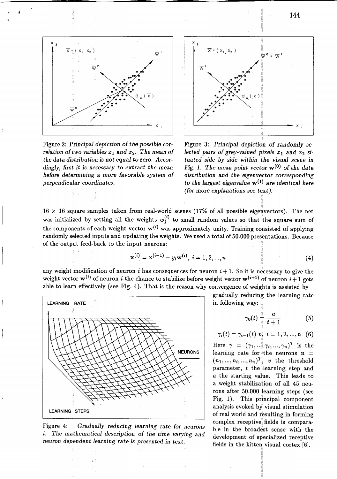

Figure 2: Principal depiction of the possible cor*relation of two variables*  $x_1$  and  $x_2$ . *The mean of*  $t$ he data distribution is not equal to zero. Accor*dingly, first it is* necessary to extract *the* mean *before determining* a *more favorable system* of *perpendicular coordinates.*



Figure 3: *Principal depiction* of *randomly selected* pairs of grey-valued pixels  $x_1$  and  $x_2$  situated *side by side within the visual* scene *in Fig.* 1. The mean point vector  $w^{(0)}$  of the data *distribution* and *the eigenvector corresponding* to *the largest eigenvalue* w(l) are *identical here (for more explanations* see *text).*

f.

 $16 \times 16$  square samples taken from real-world scenes (17% of all possible eigenvectors). The net was initialized by setting all the weights  $w_j^{(i)}$  to small random values so that the square sum of the components of each weight vector  $w^{(i)}$  was approximately unity. Training consisted of applying randomly selected inputs and updating the weights. We used a total of 50.000 presentations. Because of the output feed-back to the input neurons:

$$
\mathbf{x}^{(i)} = \mathbf{x}^{(i-1)} - y_i \mathbf{w}^{(i)}, \ i = 1, 2, ..., n
$$
 (4)

any weight modification of neuron i has consequences for neuron  $i+1$ . So it is necessary to give the weight vector  $w^{(i)}$  of neuron i the chance to stabilize before weight vector  $w^{(i+1)}$  of neuron  $i+1$  gets able to learn effectively (see Fig. 4). That is the reason why convergence of weights is assisted by



Figure 4: *Gradually reducing learning* rate *for neurons* i. *The mathematical description* of *the time varying* and *neuron* dependent *learning* rate *is* presented *in text.*

gradually reducing the learning rate

$$
\gamma_0(t) \frac{1}{\frac{1}{t}} \frac{a}{t+1} \qquad (5)
$$

$$
\gamma_i(t) = \gamma_{i-1}(t) \, v_i^{\dagger}, \, i = 1, 2, ..., n \quad (6)
$$

Here  $\gamma = (\gamma_1, \ldots, \gamma_i, \ldots, \gamma_n)^T$  is the learning rate for the neurons  $n =$  $(n_1, ..., n_i, ..., n_n)^T$ , *v* the threshold parameter, *t* the learning step and *a* the starting value. This leads to a weight stabilization of all 45 neurons after 50.000 learning steps (see Fig. 1). This principal component analysis evoked by visual stimulation of real world and resulting in forming complex receptive, fields is comparable in the broadest sense with the development of specialized receptive fields in the kitten visual cortex [6].

> 11 Ij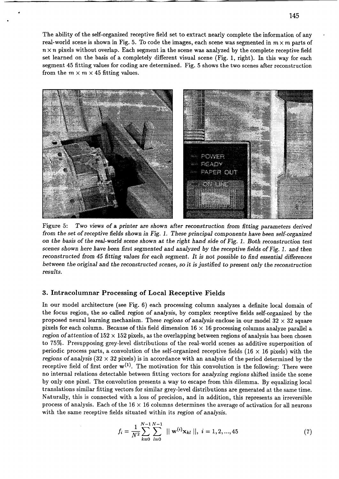The ability of the self-organized receptive field set to extract nearly complete the information of any real-world scene is shown in Fig. 5. To code the images, each scene was segmented in  $m \times m$  parts of  $n \times n$  pixels without overlap. Each segment in the scene was analyzed by the complete receptive field set learned on the basis of a completely different visual scene (Fig. 1, right). In this way for each segment 45 fitting values for coding are determined. Fig. 5 shows the two scenes after reconstruetion from the  $m \times m \times 45$  fitting values.



Figure 5: *Two views* of a *printer* are *shown* after *reconstruction from fitting* parameters *derived from the set* of *receptive fields shown in Fig.* 1. *These principal components have been self-organized* on *the basis* of *the real-world scene shown* at *the right* hand *side* of *Fig.* 1. *Both reconstruction test scenes shown here have been first segmented* and *analyzed by the receptive fields* of *Fig.* 1. and *then reconstructed from* 45 *fitting values for* each *segment.* It *is not possible* to *find essential differences between the original* and *the reconstructed scenes,* so *it isjustified* to *present only the reconstruction results.*

## 3. Intracolumnar Processing of Local Receptive Fields

In our model architecture (see Fig. 6) each processing column analyzes a definite local domain of the foeus region, the so ealled *region* of *analysis,* by complex reeeptive fields self-organized by the proposed neurallearning meehanism. These *regions* of *analysis* enclose in our model 32 x 32 square pixels for each column. Because of this field dimension  $16 \times 16$  processing columns analyze parallel a *region* of attention of  $152 \times 152$  pixels, as the overlapping between regions of analysis has been chosen to 75%. Presupposing grey-level distributions of the real-world seenes as additive superposition of periodic process parts, a convolution of the self-organized receptive fields (16  $\times$  16 pixels) with the *regions* of analysis  $(32 \times 32 \text{ pixels})$  is in accordance with an analysis of the period determined by the receptive field of first order  $w^{(1)}$ . The motivation for this convolution is the following: There were no internal relations detectable between fitting veetors for *analyzing regions* shifted inside the scene by only one pixel. The convolution presents a way to escape from this dilemma. By equalizing local translations similar fitting vectors for similar grey-level distributions are generated at the same time. Naturally, this is connected with a loss of precision, and in addition, this represents an irreversible process of analysis. Each of the  $16 \times 16$  columns determines the average of activation for all neurons with the same reeeptive fields situated within its *region* of *analysis.*

$$
f_i = \frac{1}{N^2} \sum_{k=0}^{N-1} \sum_{l=0}^{N-1} || \mathbf{w}^{(i)} \mathbf{x}_{kl} ||, i = 1, 2, ..., 45
$$
 (7)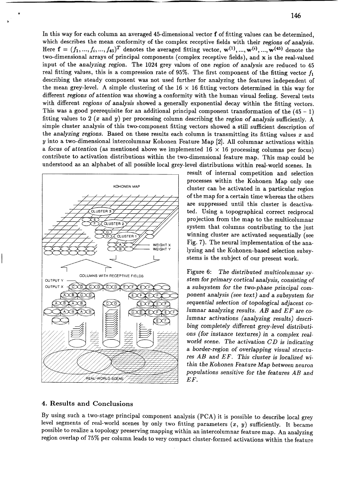In this way for each column an averaged 45-dimensional vector f of fitting values can be determined, which describes the mean conformity of the complex reeeptive fields with their *regions* of *analysis.* Here  $f = (f_1, ..., f_i, ..., f_{45})^T$  denotes the averaged fitting vector,  $w^{(1)}, ..., w^{(i)}, ..., w^{(45)}$  denote the two-dimensional arrays of principal eomponents (eomplex reeeptive fields), and x is the real-valued input of the *analyzing* region. The 1024 grey values of one *region* of *analysis* are redueed to 45 real fitting values, this is a compression rate of 95%. The first component of the fitting vector  $f_1$ describing the steady component was not used further for analyzing the features independent of the mean grey-level. A simple clustering of the  $16 \times 16$  fitting vectors determined in this way for different *regions* of *attention* was showing a eonformity with the human visual feeling. Several tests with different *regions* of *analysis* showed a generally exponential decay within the fitting vectors. This was a good prerequisite for an additional principal component transformation of the  $(45 - 1)$ fitting values to 2 *(x* and *y)* per proeessing eolumn deseribing the *region* of *analysis* sufficiently. A simple cluster analysis of this two-eomponent fitting vectors showed a still sufficient deseription of the *analyzing regions.* Based on these results eaeh eolumn is transmitting its fitting values *x* and *y* into a two-dimensional intercolumnar Kohonen Feature Map [2]. All columnar activations within a *focus* of attention (as mentioned above we implemented  $16 \times 16$  processing columns per focus) contribute to activation distributions within the two-dimensional feature map. This map eould be understood as an alphabet of all possible local grey-level distributions within real-world scenes. In



result of internal eompetition and seleetion processes within the Kohonen Map only one cluster ean be aetivated in a particular region of the map for a certain time whereas the others are suppressed until this cluster is deactivated. Using a topographieal eorreet reciproeal projeetion from the map to the multicolumnar system that columns eontributing to the just winning cluster are activated sequentially (see Fig. 7). The neural implementation of the analyzing and the Kohonen-based selection subsystems is the subject of our present work.

Figure 6: *The distributed multicolumnar sy*stem *for primary cortical analysis, consisting* of a *subsystem for the two-phase principal* com*ponent analysis* (see *text)* and a *subsystem for sequential selection* of *topological* adjaeent *columnar analyzing results. AB* and *EF* are co*lumnar activations (analyzing results) describing completely different grey-level distributions (for instance textures) in* a *complex realworld* scene. *The aetivation CD is indicating* a *border-region* of *overlapping visual structures AB and EF. This cluster is localized within the Kohonen* Feature *Map between neuron populations sensitive for the features AB and EF.*

# 4. Results and Conclusions

By using such a two-stage principal component analysis (PCA) it is possible to describe local grey level segments of real-world seenes by only two fitting parameters *(x, y)* sufficiently. It became possible to realize a topology preserving mapping within an intercolumnar feature map. An analyzing region overlap of 75% per column leads to very compact cluster-formed activations within the feature